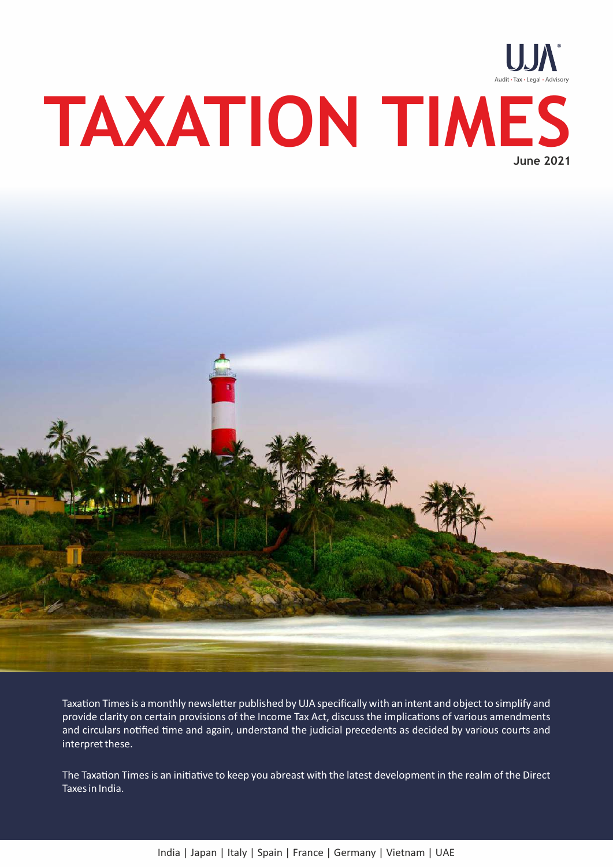



Taxation Times is a monthly newsletter published by UJA specifically with an intent and object to simplify and provide clarity on certain provisions of the Income Tax Act, discuss the implications of various amendments and circulars notified time and again, understand the judicial precedents as decided by various courts and interpret these.

The Taxation Times is an initiative to keep you abreast with the latest development in the realm of the Direct Taxes in India.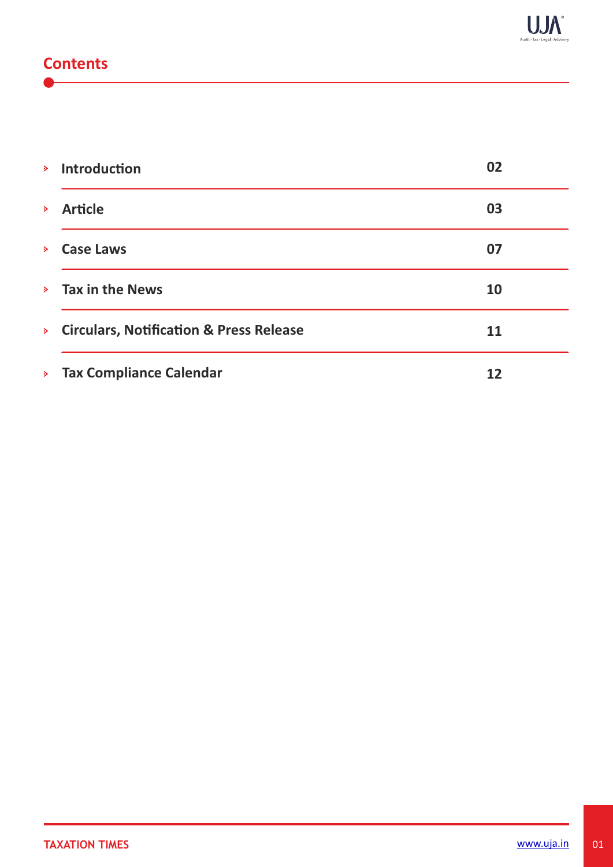## **Contents**

| $\triangleright$   | <b>Introduction</b>                                | 02 |
|--------------------|----------------------------------------------------|----|
| $\triangleright$   | <b>Article</b>                                     | 03 |
| $\triangleright$   | <b>Case Laws</b>                                   | 07 |
|                    | $\angle$ Tax in the News                           | 10 |
| $\mathbf{p}$       | <b>Circulars, Notification &amp; Press Release</b> | 11 |
| $\mathbf{S}^{\pm}$ | <b>Tax Compliance Calendar</b>                     | 12 |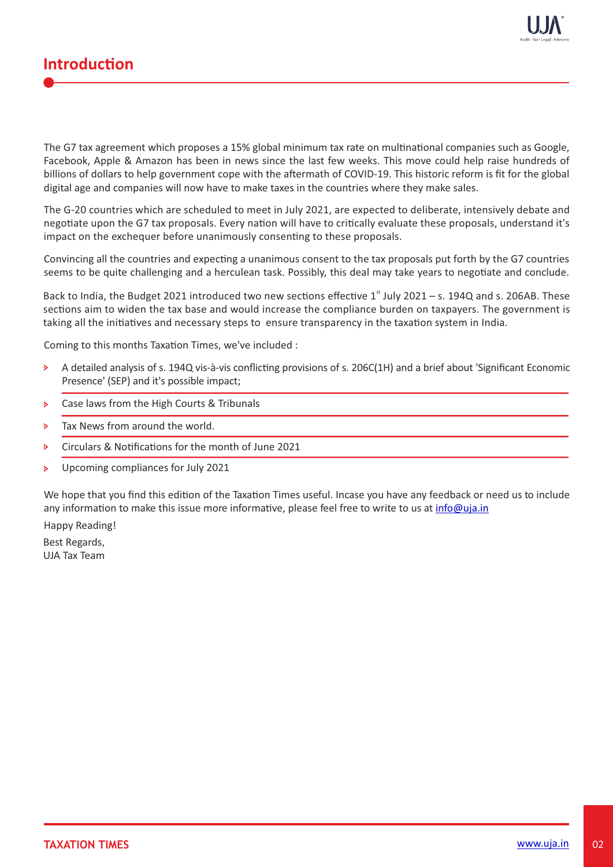



The G7 tax agreement which proposes a 15% global minimum tax rate on multinational companies such as Google, Facebook, Apple & Amazon has been in news since the last few weeks. This move could help raise hundreds of billions of dollars to help government cope with the aftermath of COVID-19. This historic reform is fit for the global digital age and companies will now have to make taxes in the countries where they make sales.

The G-20 countries which are scheduled to meet in July 2021, are expected to deliberate, intensively debate and negotiate upon the G7 tax proposals. Every nation will have to critically evaluate these proposals, understand it's impact on the exchequer before unanimously consenting to these proposals.

Convincing all the countries and expecting a unanimous consent to the tax proposals put forth by the G7 countries seems to be quite challenging and a herculean task. Possibly, this deal may take years to negotiate and conclude.

Back to India, the Budget 2021 introduced two new sections effective  $1<sup>st</sup>$  July 2021 – s. 194Q and s. 206AB. These sections aim to widen the tax base and would increase the compliance burden on taxpayers. The government is taking all the initiatives and necessary steps to ensure transparency in the taxation system in India.

Coming to this months Taxation Times, we've included :

- A detailed analysis of s. 194Q vis-à-vis conflicting provisions of s. 206C(1H) and a brief about 'Significant Economic  $\triangleright$ Presence' (SEP) and it's possible impact;
- Case laws from the High Courts & Tribunals  $\triangleright$
- Tax News from around the world.  $\mathbf{S}$
- Circulars & Notifications for the month of June 2021  $\mathbf{b}$
- Upcoming compliances for July 2021  $\mathbf{S}$

We hope that you find this edition of the Taxation Times useful. Incase you have any feedback or need us to include any information to make this issue more informative, please feel free to write to us at info@uja.in

Happy Reading!

Best Regards, UJA Tax Team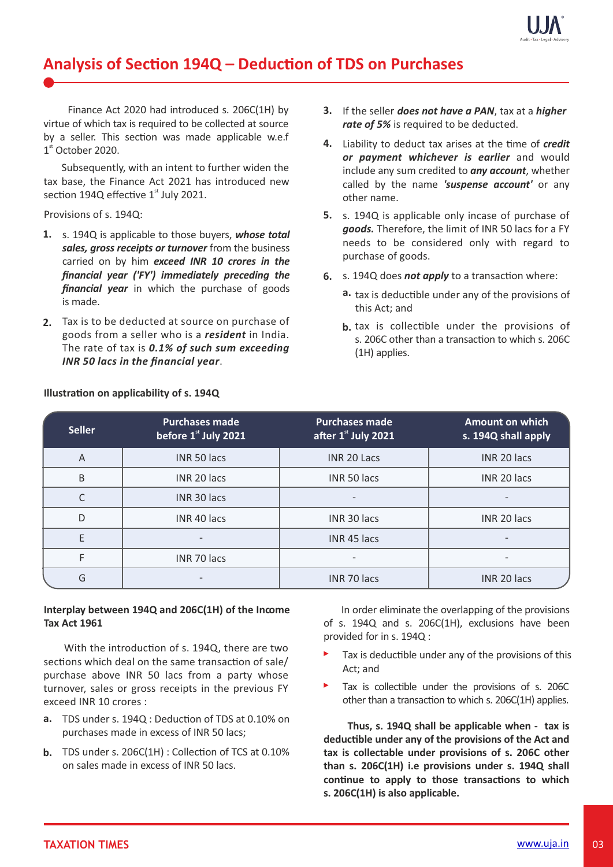

# Analysis of Section 194Q - Deduction of TDS on Purchases

Finance Act 2020 had introduced s. 206C(1H) by virtue of which tax is required to be collected at source by a seller. This section was made applicable w.e.f  $1<sup>st</sup>$  October 2020.

 Subsequently, with an intent to further widen the tax base, the Finance Act 2021 has introduced new section 194Q effective  $1<sup>st</sup>$  July 2021.

#### Provisions of s. 194Q:

- s. 194Q is applicable to those buyers, *whose total* **1.** *sales, gross receipts or turnover* from the business carried on by him *exceed INR 10 crores in the financial year ('FY') immediately preceding the financial year* in which the purchase of goods is made.
- Tax is to be deducted at source on purchase of **2.** goods from a seller who is a *resident* in India. The rate of tax is *0.1% of such sum exceeding INR 50 lacs in the financial year*.
- If the seller *does not have a PAN*, tax at a *higher* **3.** *rate of 5%* is required to be deducted.
- 4. Liability to deduct tax arises at the time of *credit or payment whichever is earlier* and would include any sum credited to *any account*, whether called by the name *'suspense account'* or any other name.
- s. 194Q is applicable only incase of purchase of **5.** *goods.* Therefore, the limit of INR 50 lacs for a FY needs to be considered only with regard to purchase of goods.
- 6. s. 194Q does *not apply* to a transaction where:
	- a. tax is deductible under any of the provisions of this Act; and
	- **b**, tax is collectible under the provisions of s. 206C other than a transaction to which s. 206C (1H) applies.

| <b>Seller</b> | <b>Purchases made</b><br>before 1 <sup>st</sup> July 2021 | <b>Purchases made</b><br>after 1st July 2021 | <b>Amount on which</b><br>s. 194Q shall apply |
|---------------|-----------------------------------------------------------|----------------------------------------------|-----------------------------------------------|
| A             | INR 50 lacs                                               | INR 20 Lacs                                  | INR 20 lacs                                   |
| B             | INR 20 lacs                                               | INR 50 lacs                                  | INR 20 lacs                                   |
| $\Gamma$      | INR 30 lacs                                               |                                              |                                               |
| D             | INR 40 lacs                                               | INR 30 lacs                                  | INR 20 lacs                                   |
| Е             |                                                           | INR 45 lacs                                  |                                               |
|               | INR 70 lacs                                               |                                              |                                               |
| G             |                                                           | INR 70 lacs                                  | INR 20 lacs                                   |

### **Illustration on applicability of s. 194Q**

### **Interplay between 194Q and 206C(1H) of the Income Tax Act 1961**

With the introduction of s. 194Q, there are two sections which deal on the same transaction of sale/ purchase above INR 50 lacs from a party whose turnover, sales or gross receipts in the previous FY exceed INR 10 crores :

- a. TDS under s. 194Q : Deduction of TDS at 0.10% on purchases made in excess of INR 50 lacs;
- **b.** TDS under s. 206C(1H): Collection of TCS at 0.10% on sales made in excess of INR 50 lacs.

 In order eliminate the overlapping of the provisions of s. 194Q and s. 206C(1H), exclusions have been provided for in s. 194Q :

- $\blacktriangleright$ Tax is deductible under any of the provisions of this Act; and
- Tax is collectible under the provisions of s. 206C other than a transaction to which s. 206C(1H) applies.

**Thus, s. 194Q shall be applicable when - tax is deducble under any of the provisions of the Act and tax is collectable under provisions of s. 206C other than s. 206C(1H) i.e provisions under s. 194Q shall** continue to apply to those transactions to which **s. 206C(1H) is also applicable.**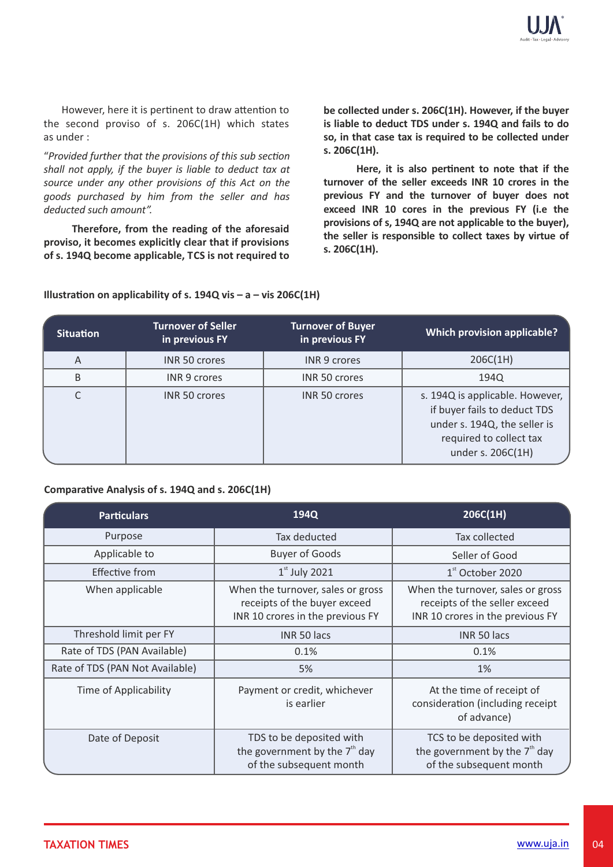However, here it is pertinent to draw attention to the second proviso of s. 206C(1H) which states as under :

"*Provided further that the provisions of this sub secon shall not apply, if the buyer is liable to deduct tax at source under any other provisions of this Act on the goods purchased by him from the seller and has deducted such amount".*

**Therefore, from the reading of the aforesaid proviso, it becomes explicitly clear that if provisions of s. 194Q become applicable, TCS is not required to** **be collected under s. 206C(1H). However, if the buyer is liable to deduct TDS under s. 194Q and fails to do so, in that case tax is required to be collected under s. 206C(1H).**

Here, it is also pertinent to note that if the **turnover of the seller exceeds INR 10 crores in the previous FY and the turnover of buyer does not exceed INR 10 cores in the previous FY (i.e the provisions of s, 194Q are not applicable to the buyer), the seller is responsible to collect taxes by virtue of s. 206C(1H).** 

| <b>Situation</b> | <b>Turnover of Seller</b><br>in previous FY | <b>Turnover of Buyer</b><br>in previous FY | <b>Which provision applicable?</b>                                                                                                              |
|------------------|---------------------------------------------|--------------------------------------------|-------------------------------------------------------------------------------------------------------------------------------------------------|
| Α                | <b>INR 50 crores</b>                        | <b>INR 9 crores</b>                        | 206C(1H)                                                                                                                                        |
| B                | <b>INR 9 crores</b>                         | INR 50 crores                              | 194Q                                                                                                                                            |
| C                | <b>INR 50 crores</b>                        | <b>INR 50 crores</b>                       | s. 194Q is applicable. However,<br>if buyer fails to deduct TDS<br>under s. 194Q, the seller is<br>required to collect tax<br>under s. 206C(1H) |

**Illustration on applicability of s. 194Q vis - a - vis 206C(1H)** 

### Comparative Analysis of s. 194Q and s. 206C(1H)

| <b>Particulars</b>              | 194Q                                                                                                  | 206C(1H)                                                                                               |
|---------------------------------|-------------------------------------------------------------------------------------------------------|--------------------------------------------------------------------------------------------------------|
| Purpose                         | Tax deducted                                                                                          | Tax collected                                                                                          |
| Applicable to                   | <b>Buyer of Goods</b>                                                                                 | Seller of Good                                                                                         |
| <b>Effective from</b>           | $1st$ July 2021                                                                                       | $1st$ October 2020                                                                                     |
| When applicable                 | When the turnover, sales or gross<br>receipts of the buyer exceed<br>INR 10 crores in the previous FY | When the turnover, sales or gross<br>receipts of the seller exceed<br>INR 10 crores in the previous FY |
| Threshold limit per FY          | INR 50 lacs                                                                                           | INR 50 lacs                                                                                            |
| Rate of TDS (PAN Available)     | 0.1%                                                                                                  | 0.1%                                                                                                   |
| Rate of TDS (PAN Not Available) | 5%                                                                                                    | 1%                                                                                                     |
| <b>Time of Applicability</b>    | Payment or credit, whichever<br>is earlier                                                            | At the time of receipt of<br>consideration (including receipt<br>of advance)                           |
| Date of Deposit                 | TDS to be deposited with<br>the government by the 7 <sup>th</sup> day<br>of the subsequent month      | TCS to be deposited with<br>the government by the $7th$ day<br>of the subsequent month                 |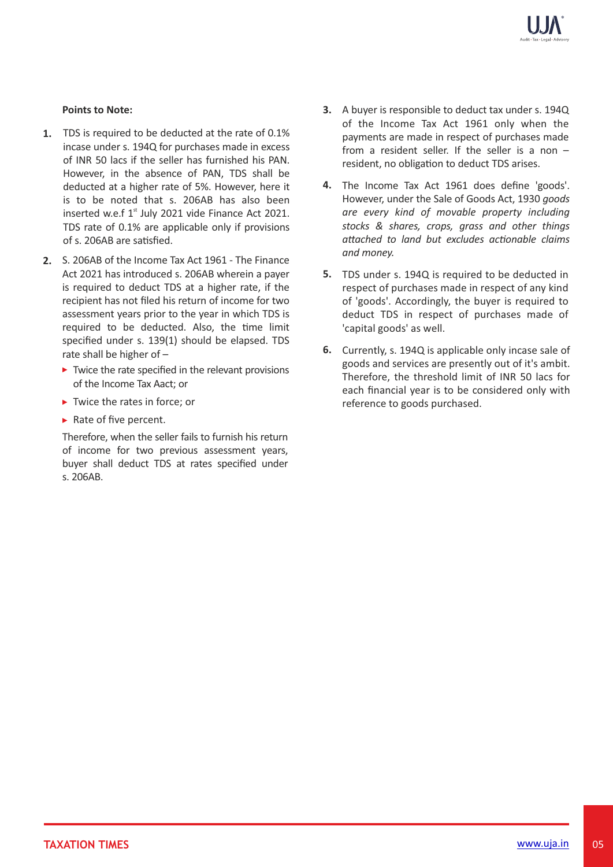#### **Points to Note:**

- **1.** TDS is required to be deducted at the rate of 0.1% incase under s. 194Q for purchases made in excess of INR 50 lacs if the seller has furnished his PAN. However, in the absence of PAN, TDS shall be deducted at a higher rate of 5%. However, here it is to be noted that s. 206AB has also been inserted w.e.f  $1<sup>st</sup>$  July 2021 vide Finance Act 2021. TDS rate of 0.1% are applicable only if provisions of s. 206AB are satisfied.
- S. 206AB of the Income Tax Act 1961 The Finance **2.** Act 2021 has introduced s. 206AB wherein a payer is required to deduct TDS at a higher rate, if the recipient has not filed his return of income for two assessment years prior to the year in which TDS is required to be deducted. Also, the time limit specified under s. 139(1) should be elapsed. TDS rate shall be higher of –
	- $\triangleright$  Twice the rate specified in the relevant provisions of the Income Tax Aact; or
	- $\blacktriangleright$  Twice the rates in force: or
	- $\blacktriangleright$  Rate of five percent.

Therefore, when the seller fails to furnish his return of income for two previous assessment years, buyer shall deduct TDS at rates specified under s. 206AB.

- A buyer is responsible to deduct tax under s. 194Q **3.** of the Income Tax Act 1961 only when the payments are made in respect of purchases made from a resident seller. If the seller is a non – resident, no obligation to deduct TDS arises.
- The Income Tax Act 1961 does define 'goods'. **4.** However, under the Sale of Goods Act, 1930 *goods are every kind of movable property including stocks & shares, crops, grass and other things* attached to land but excludes actionable claims *and money.*
- 5. TDS under s. 194Q is required to be deducted in respect of purchases made in respect of any kind of 'goods'. Accordingly, the buyer is required to deduct TDS in respect of purchases made of 'capital goods' as well.
- Currently, s. 194Q is applicable only incase sale of **6.** goods and services are presently out of it's ambit. Therefore, the threshold limit of INR 50 lacs for each financial year is to be considered only with reference to goods purchased.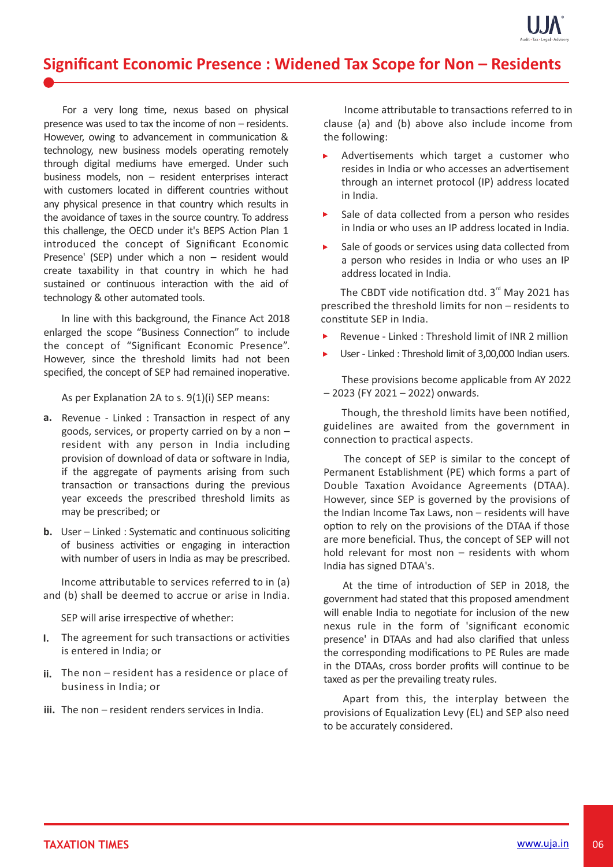

# **Significant Economic Presence : Widened Tax Scope for Non – Residents**

For a very long time, nexus based on physical presence was used to tax the income of non – residents. However, owing to advancement in communication & technology, new business models operating remotely through digital mediums have emerged. Under such business models, non – resident enterprises interact with customers located in different countries without any physical presence in that country which results in the avoidance of taxes in the source country. To address this challenge, the OECD under it's BEPS Action Plan 1 introduced the concept of Significant Economic Presence' (SEP) under which a non – resident would create taxability in that country in which he had sustained or continuous interaction with the aid of technology & other automated tools.

In line with this background, the Finance Act 2018 enlarged the scope "Business Connection" to include the concept of "Significant Economic Presence". However, since the threshold limits had not been specified, the concept of SEP had remained inoperative.

As per Explanation 2A to s.  $9(1)(i)$  SEP means:

- a. Revenue Linked : Transaction in respect of any goods, services, or property carried on by a non – resident with any person in India including provision of download of data or software in India, if the aggregate of payments arising from such transaction or transactions during the previous year exceeds the prescribed threshold limits as may be prescribed; or
- **b.** User Linked: Systematic and continuous soliciting of business activities or engaging in interaction with number of users in India as may be prescribed.

Income attributable to services referred to  $\infty$  (a) and (b) shall be deemed to accrue or arise in India.

SEP will arise irrespective of whether:

- **I.** The agreement for such transactions or activities is entered in India; or
- The non resident has a residence or place of **ii.**  business in India; or
- iii. The non resident renders services in India.

Income attributable to transactions referred to in clause (a) and (b) above also include income from the following:

- k. Advertisements which target a customer who resides in India or who accesses an advertisement through an internet protocol (IP) address located in India.
- ъ. Sale of data collected from a person who resides in India or who uses an IP address located in India.
- $\mathbf{E}^{\mathrm{eff}}$ Sale of goods or services using data collected from a person who resides in India or who uses an IP address located in India.

The CBDT vide notification dtd.  $3<sup>rd</sup>$  May 2021 has prescribed the threshold limits for non – residents to constitute SEP in India.

- Revenue Linked : Threshold limit of INR 2 million
- $\mathbf{E}^{\mathcal{A}}$ User - Linked : Threshold limit of 3,00,000 Indian users.

 These provisions become applicable from AY 2022 – 2023 (FY 2021 – 2022) onwards.

Though, the threshold limits have been notified, guidelines are awaited from the government in connection to practical aspects.

The concept of SEP is similar to the concept of Permanent Establishment (PE) which forms a part of Double Taxation Avoidance Agreements (DTAA). However, since SEP is governed by the provisions of the Indian Income Tax Laws, non – residents will have option to rely on the provisions of the DTAA if those are more beneficial. Thus, the concept of SEP will not hold relevant for most non – residents with whom India has signed DTAA's.

At the time of introduction of SEP in 2018, the government had stated that this proposed amendment will enable India to negotiate for inclusion of the new nexus rule in the form of 'significant economic presence' in DTAAs and had also clarified that unless the corresponding modifications to PE Rules are made in the DTAAs, cross border profits will continue to be taxed as per the prevailing treaty rules.

Apart from this, the interplay between the provisions of Equalization Levy (EL) and SEP also need to be accurately considered.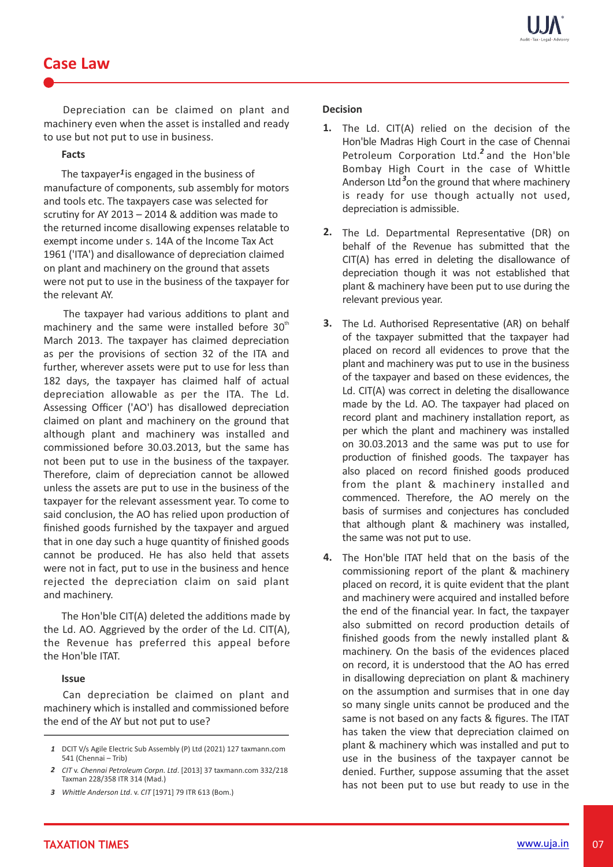## **Case Law**

Depreciation can be claimed on plant and machinery even when the asset is installed and ready to use but not put to use in business.

#### **Facts**

The taxpayer<sup>1</sup> is engaged in the business of manufacture of components, sub assembly for motors and tools etc. The taxpayers case was selected for scrutiny for AY 2013 – 2014  $&$  addition was made to the returned income disallowing expenses relatable to exempt income under s. 14A of the Income Tax Act 1961 ('ITA') and disallowance of depreciation claimed on plant and machinery on the ground that assets were not put to use in the business of the taxpayer for the relevant AY.

The taxpayer had various additions to plant and machinery and the same were installed before  $30<sup>th</sup>$ March 2013. The taxpayer has claimed depreciation as per the provisions of section 32 of the ITA and further, wherever assets were put to use for less than 182 days, the taxpayer has claimed half of actual depreciation allowable as per the ITA. The Ld. Assessing Officer ('AO') has disallowed depreciation claimed on plant and machinery on the ground that although plant and machinery was installed and commissioned before 30.03.2013, but the same has not been put to use in the business of the taxpayer. Therefore, claim of depreciation cannot be allowed unless the assets are put to use in the business of the taxpayer for the relevant assessment year. To come to said conclusion, the AO has relied upon production of finished goods furnished by the taxpayer and argued that in one day such a huge quantity of finished goods cannot be produced. He has also held that assets were not in fact, put to use in the business and hence rejected the depreciation claim on said plant and machinery.

The Hon'ble CIT(A) deleted the additions made by the Ld. AO. Aggrieved by the order of the Ld. CIT(A), the Revenue has preferred this appeal before the Hon'ble ITAT.

#### **Issue**

Can depreciation be claimed on plant and machinery which is installed and commissioned before the end of the AY but not put to use?

#### **Decision**

- 1. The Ld. CIT(A) relied on the decision of the Hon'ble Madras High Court in the case of Chennai Petroleum Corporation Ltd.<sup>2</sup> and the Hon'ble Bombay High Court in the case of Whittle Anderson Ltd<sup>3</sup>on the ground that where machinery is ready for use though actually not used, depreciation is admissible.
- 2. The Ld. Departmental Representative (DR) on behalf of the Revenue has submitted that the  $CIT(A)$  has erred in deleting the disallowance of depreciation though it was not established that plant & machinery have been put to use during the relevant previous year.
- 3. The Ld. Authorised Representative (AR) on behalf of the taxpayer submitted that the taxpayer had placed on record all evidences to prove that the plant and machinery was put to use in the business of the taxpayer and based on these evidences, the Ld.  $CIT(A)$  was correct in deleting the disallowance made by the Ld. AO. The taxpayer had placed on record plant and machinery installation report, as per which the plant and machinery was installed on 30.03.2013 and the same was put to use for production of finished goods. The taxpayer has also placed on record finished goods produced from the plant & machinery installed and commenced. Therefore, the AO merely on the basis of surmises and conjectures has concluded that although plant & machinery was installed, the same was not put to use.
- 4. The Hon'ble ITAT held that on the basis of the commissioning report of the plant & machinery placed on record, it is quite evident that the plant and machinery were acquired and installed before the end of the financial year. In fact, the taxpayer also submitted on record production details of finished goods from the newly installed plant & machinery. On the basis of the evidences placed on record, it is understood that the AO has erred in disallowing depreciation on plant & machinery on the assumption and surmises that in one day so many single units cannot be produced and the same is not based on any facts & figures. The ITAT has taken the view that depreciation claimed on plant & machinery which was installed and put to use in the business of the taxpayer cannot be denied. Further, suppose assuming that the asset has not been put to use but ready to use in the

DCIT V/s Agile Electric Sub Assembly (P) Ltd (2021) 127 taxmann.com *1* 541 (Chennai – Trib)

*CIT* v. *Chennai Petroleum Corpn. Ltd*. [2013] 37 taxmann.com 332/218 *2* Taxman 228/358 ITR 314 (Mad.)

*While Anderson Ltd*. v. *CIT* [1971] 79 ITR 613 (Bom.) *3*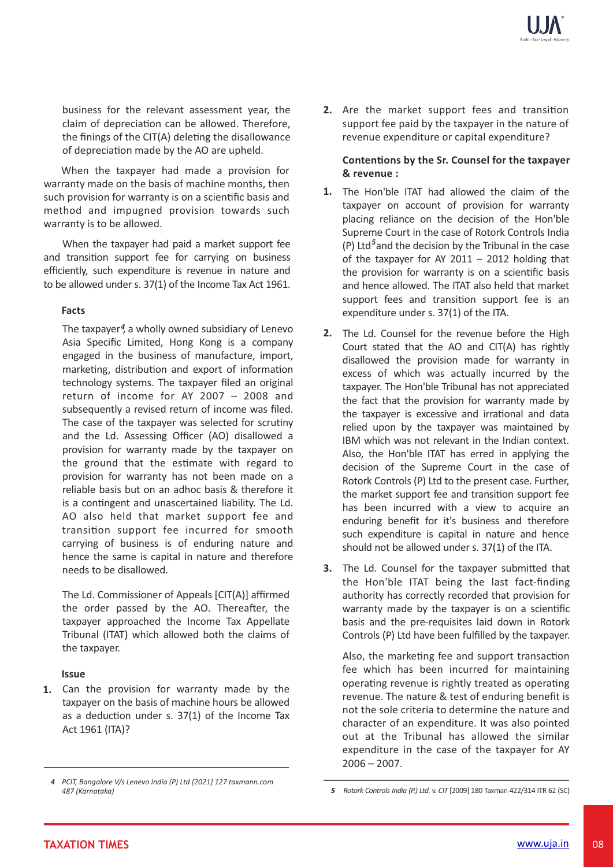business for the relevant assessment year, the claim of depreciation can be allowed. Therefore, the finings of the CIT(A) deleting the disallowance of depreciation made by the AO are upheld.

When the taxpayer had made a provision for warranty made on the basis of machine months, then such provision for warranty is on a scientific basis and method and impugned provision towards such warranty is to be allowed.

When the taxpayer had paid a market support fee and transition support fee for carrying on business efficiently, such expenditure is revenue in nature and to be allowed under s. 37(1) of the Income Tax Act 1961.

#### **Facts**

The taxpayer<sup>4</sup>, a wholly owned subsidiary of Lenevo Asia Specific Limited, Hong Kong is a company engaged in the business of manufacture, import, marketing, distribution and export of information technology systems. The taxpayer filed an original return of income for AY 2007 – 2008 and subsequently a revised return of income was filed. The case of the taxpayer was selected for scrutiny and the Ld. Assessing Officer (AO) disallowed a provision for warranty made by the taxpayer on the ground that the estimate with regard to provision for warranty has not been made on a reliable basis but on an adhoc basis & therefore it is a contingent and unascertained liability. The Ld. AO also held that market support fee and transition support fee incurred for smooth carrying of business is of enduring nature and hence the same is capital in nature and therefore needs to be disallowed.

The Ld. Commissioner of Appeals [CIT(A)] affirmed the order passed by the AO. Thereafter, the taxpayer approached the Income Tax Appellate Tribunal (ITAT) which allowed both the claims of the taxpayer.

#### **Issue**

Can the provision for warranty made by the **1.** taxpayer on the basis of machine hours be allowed as a deduction under s.  $37(1)$  of the Income Tax Act 1961 (ITA)?

**2.** Are the market support fees and transition support fee paid by the taxpayer in the nature of revenue expenditure or capital expenditure?

#### **Contentions by the Sr. Counsel for the taxpayer & revenue :**

- 1. The Hon'ble ITAT had allowed the claim of the taxpayer on account of provision for warranty placing reliance on the decision of the Hon'ble Supreme Court in the case of Rotork Controls India (P) Ltd<sup>5</sup> and the decision by the Tribunal in the case of the taxpayer for AY 2011 – 2012 holding that the provision for warranty is on a scienfic basis and hence allowed. The ITAT also held that market support fees and transition support fee is an expenditure under s. 37(1) of the ITA.
- 2. The Ld. Counsel for the revenue before the High Court stated that the AO and CIT(A) has rightly disallowed the provision made for warranty in excess of which was actually incurred by the taxpayer. The Hon'ble Tribunal has not appreciated the fact that the provision for warranty made by the taxpayer is excessive and irrational and data relied upon by the taxpayer was maintained by IBM which was not relevant in the Indian context. Also, the Hon'ble ITAT has erred in applying the decision of the Supreme Court in the case of Rotork Controls (P) Ltd to the present case. Further, the market support fee and transition support fee has been incurred with a view to acquire an enduring benefit for it's business and therefore such expenditure is capital in nature and hence should not be allowed under s. 37(1) of the ITA.
- 3. The Ld. Counsel for the taxpayer submitted that the Hon'ble ITAT being the last fact-finding authority has correctly recorded that provision for warranty made by the taxpayer is on a scientific basis and the pre-requisites laid down in Rotork Controls (P) Ltd have been fulfilled by the taxpayer.

Also, the marketing fee and support transaction fee which has been incurred for maintaining operating revenue is rightly treated as operating revenue. The nature & test of enduring benefit is not the sole criteria to determine the nature and character of an expenditure. It was also pointed out at the Tribunal has allowed the similar expenditure in the case of the taxpayer for AY  $2006 - 2007$ .

*PCIT, Bangalore V/s Lenevo India (P) Ltd [2021] 127 taxmann.com 4 487 (Karnataka)*

*<sup>5</sup> Rotork Controls India (P.) Ltd.* v. *CIT* [2009] 180 Taxman 422/314 ITR 62 (SC)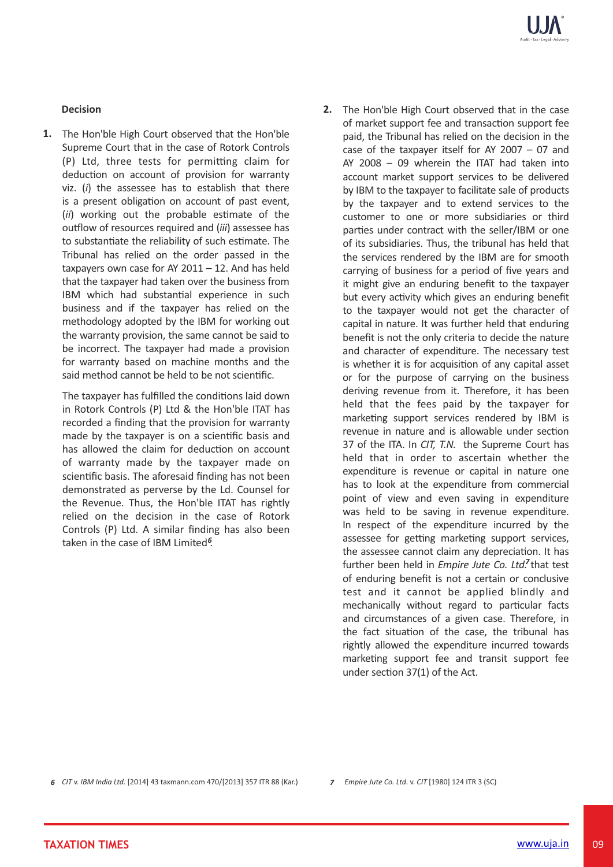### **Decision**

1. The Hon'ble High Court observed that the Hon'ble Supreme Court that in the case of Rotork Controls  $(P)$  Ltd, three tests for permitting claim for deduction on account of provision for warranty viz. (*i*) the assessee has to establish that there is a present obligation on account of past event, (ii) working out the probable estimate of the outflow of resources required and *(iii)* assessee has to substantiate the reliability of such estimate. The Tribunal has relied on the order passed in the taxpayers own case for AY  $2011 - 12$ . And has held that the taxpayer had taken over the business from IBM which had substantial experience in such business and if the taxpayer has relied on the methodology adopted by the IBM for working out the warranty provision, the same cannot be said to be incorrect. The taxpayer had made a provision for warranty based on machine months and the said method cannot be held to be not scientific.

The taxpayer has fulfilled the conditions laid down in Rotork Controls (P) Ltd & the Hon'ble ITAT has recorded a finding that the provision for warranty made by the taxpayer is on a scientific basis and has allowed the claim for deduction on account of warranty made by the taxpayer made on scientific basis. The aforesaid finding has not been demonstrated as perverse by the Ld. Counsel for the Revenue. Thus, the Hon'ble ITAT has rightly relied on the decision in the case of Rotork Controls (P) Ltd. A similar finding has also been taken in the case of IBM Limited<sup>6</sup>.

2. The Hon'ble High Court observed that in the case of market support fee and transaction support fee paid, the Tribunal has relied on the decision in the case of the taxpayer itself for AY 2007 – 07 and AY 2008 – 09 wherein the ITAT had taken into account market support services to be delivered by IBM to the taxpayer to facilitate sale of products by the taxpayer and to extend services to the customer to one or more subsidiaries or third parties under contract with the seller/IBM or one of its subsidiaries. Thus, the tribunal has held that the services rendered by the IBM are for smooth carrying of business for a period of five years and it might give an enduring benefit to the taxpayer but every activity which gives an enduring benefit to the taxpayer would not get the character of capital in nature. It was further held that enduring benefit is not the only criteria to decide the nature and character of expenditure. The necessary test is whether it is for acquisition of any capital asset or for the purpose of carrying on the business deriving revenue from it. Therefore, it has been held that the fees paid by the taxpayer for marketing support services rendered by IBM is revenue in nature and is allowable under section 37 of the ITA. In *CIT, T.N.* the Supreme Court has held that in order to ascertain whether the expenditure is revenue or capital in nature one has to look at the expenditure from commercial point of view and even saving in expenditure was held to be saving in revenue expenditure. In respect of the expenditure incurred by the assessee for getting marketing support services, the assessee cannot claim any depreciation. It has further been held in *Empire Jute Co. Ltd.* that test of enduring benefit is not a certain or conclusive test and it cannot be applied blindly and mechanically without regard to particular facts and circumstances of a given case. Therefore, in the fact situation of the case, the tribunal has rightly allowed the expenditure incurred towards marketing support fee and transit support fee under section  $37(1)$  of the Act.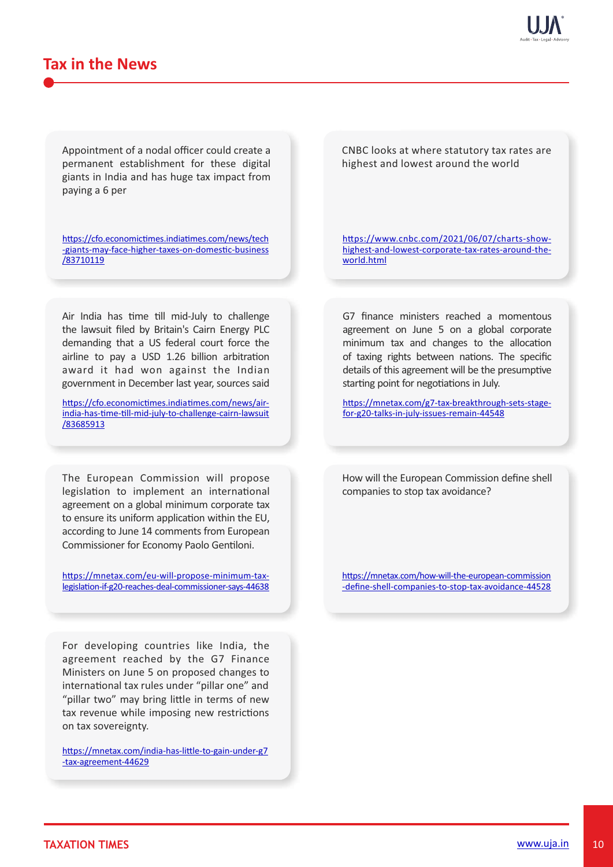# **Tax in the News**

Appointment of a nodal officer could create a permanent establishment for these digital giants in India and has huge tax impact from paying a 6 per

https://cfo.economictimes.indiatimes.com/news/tech -giants-may-face-higher-taxes-on-domestic-business /83710119

Air India has time till mid-July to challenge the lawsuit filed by Britain's Cairn Energy PLC demanding that a US federal court force the airline to pay a USD 1.26 billion arbitration award it had won against the Indian government in December last year, sources said

https://cfo.economictimes.indiatimes.com/news/airindia-has-time-till-mid-july-to-challenge-cairn-lawsuit /83685913

The European Commission will propose legislation to implement an international agreement on a global minimum corporate tax to ensure its uniform application within the EU, according to June 14 comments from European Commissioner for Economy Paolo Gentiloni.

https://mnetax.com/eu-will-propose-minimum-taxlegislation-if-g20-reaches-deal-commissioner-says-44638

For developing countries like India, the agreement reached by the G7 Finance Ministers on June 5 on proposed changes to international tax rules under "pillar one" and "pillar two" may bring little in terms of new tax revenue while imposing new restrictions on tax sovereignty.

https://mnetax.com/india-has-little-to-gain-under-g7 -tax-agreement-44629

CNBC looks at where statutory tax rates are highest and lowest around the world

https://www.cnbc.com/2021/06/07/charts-showhighest-and-lowest-corporate-tax-rates-around-theworld.html

G7 finance ministers reached a momentous agreement on June 5 on a global corporate minimum tax and changes to the allocation of taxing rights between nations. The specific details of this agreement will be the presumptive starting point for negotiations in July.

https://mnetax.com/g7-tax-breakthrough-sets-stagefor-g20-talks-in-july-issues-remain-44548

How will the European Commission define shell companies to stop tax avoidance?

https://mnetax.com/how-will-the-european-commission -define-shell-companies-to-stop-tax-avoidance-44528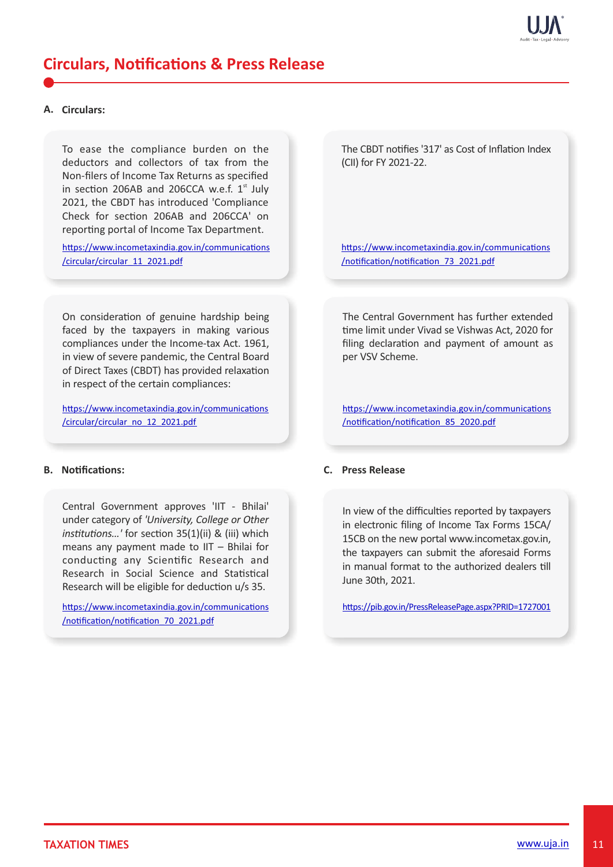

# **Circulars, Notifications & Press Release**

#### **A. Circulars:**

To ease the compliance burden on the deductors and collectors of tax from the Non-filers of Income Tax Returns as specified in section 206AB and 206CCA w.e.f.  $1<sup>st</sup>$  July 2021, the CBDT has introduced 'Compliance Check for section 206AB and 206CCA' on reporting portal of Income Tax Department.

https://www.incometaxindia.gov.in/communications /circular/circular\_11\_2021.pdf

On consideration of genuine hardship being faced by the taxpayers in making various compliances under the Income-tax Act. 1961, in view of severe pandemic, the Central Board of Direct Taxes (CBDT) has provided relaxation in respect of the certain compliances:

https://www.incometaxindia.gov.in/communications /circular/circular\_no\_12\_2021.pdf

### **B.** Notifications:

Central Government approves 'IIT - Bhilai' under category of *'University, College or Other institutions...'* for section 35(1)(ii) & (iii) which means any payment made to IIT – Bhilai for conducting any Scientific Research and Research in Social Science and Statistical Research will be eligible for deduction u/s 35.

https://www.incometaxindia.gov.in/communications /notification/notification 70 2021.pdf

The CBDT notifies '317' as Cost of Inflation Index (CII) for FY 2021-22.

https://www.incometaxindia.gov.in/communications /notification/notification 73 2021.pdf

The Central Government has further extended time limit under Vivad se Vishwas Act, 2020 for filing declaration and payment of amount as per VSV Scheme.

https://www.incometaxindia.gov.in/communications /notification/notification 85 2020.pdf

#### **C. Press Release**

In view of the difficulties reported by taxpayers in electronic filing of Income Tax Forms 15CA/ 15CB on the new portal www.incometax.gov.in, the taxpayers can submit the aforesaid Forms in manual format to the authorized dealers till June 30th, 2021.

https://pib.gov.in/PressReleasePage.aspx?PRID=1727001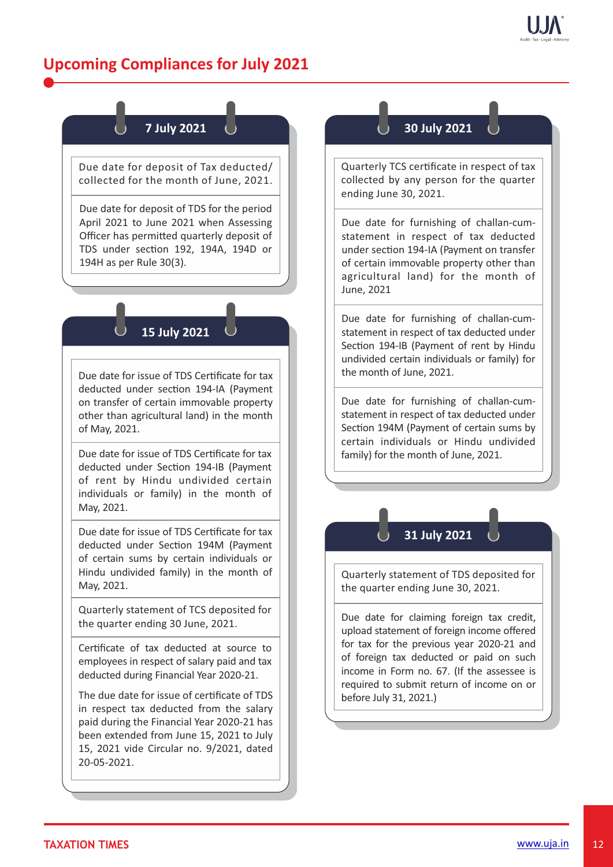# **Upcoming Compliances for July 2021**

# **7 July 2021**

Due date for deposit of Tax deducted/ collected for the month of June, 2021.

Due date for deposit of TDS for the period April 2021 to June 2021 when Assessing Officer has permitted quarterly deposit of TDS under section 192, 194A, 194D or 194H as per Rule 30(3).

## **15 July 2021**

Due date for issue of TDS Cerficate for tax deducted under section 194-IA (Payment on transfer of certain immovable property other than agricultural land) in the month of May, 2021.

Due date for issue of TDS Certificate for tax deducted under Section 194-IB (Payment of rent by Hindu undivided certain individuals or family) in the month of May, 2021.

Due date for issue of TDS Cerficate for tax deducted under Section 194M (Payment of certain sums by certain individuals or Hindu undivided family) in the month of May, 2021.

Quarterly statement of TCS deposited for the quarter ending 30 June, 2021.

Cerficate of tax deducted at source to employees in respect of salary paid and tax deducted during Financial Year 2020-21.

The due date for issue of cerficate of TDS in respect tax deducted from the salary paid during the Financial Year 2020-21 has been extended from June 15, 2021 to July 15, 2021 vide Circular no. 9/2021, dated 20-05-2021.

## **30 July 2021**

Quarterly TCS certificate in respect of tax collected by any person for the quarter ending June 30, 2021.

Due date for furnishing of challan-cumstatement in respect of tax deducted under section 194-IA (Payment on transfer of certain immovable property other than agricultural land) for the month of June, 2021

Due date for furnishing of challan-cumstatement in respect of tax deducted under Section 194-IB (Payment of rent by Hindu undivided certain individuals or family) for the month of June, 2021.

Due date for furnishing of challan-cumstatement in respect of tax deducted under Section 194M (Payment of certain sums by certain individuals or Hindu undivided family) for the month of June, 2021.



Quarterly statement of TDS deposited for the quarter ending June 30, 2021.

Due date for claiming foreign tax credit, upload statement of foreign income offered for tax for the previous year 2020-21 and of foreign tax deducted or paid on such income in Form no. 67. (If the assessee is required to submit return of income on or before July 31, 2021.)